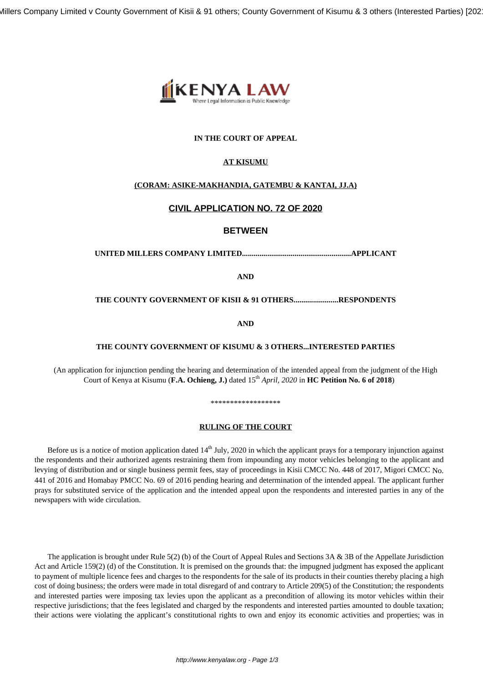Millers Company Limited v County Government of Kisii & 91 others; County Government of Kisumu & 3 others (Interested Parties) [202



## **IN THE COURT OF APPEAL**

# **AT KISUMU**

# **(CORAM: ASIKE-MAKHANDIA, GATEMBU & KANTAI, JJ.A)**

# **CIVIL APPLICATION NO. 72 OF 2020**

# **BETWEEN**

## **UNITED MILLERS COMPANY LIMITED........................................................APPLICANT**

**AND**

## **THE COUNTY GOVERNMENT OF KISII & 91 OTHERS.......................RESPONDENTS**

**AND**

#### **THE COUNTY GOVERNMENT OF KISUMU & 3 OTHERS...INTERESTED PARTIES**

(An application for injunction pending the hearing and determination of the intended appeal from the judgment of the High Court of Kenya at Kisumu (**F.A. Ochieng, J.)** dated 15th *April, 2020* in **HC Petition No. 6 of 2018**)

# \*\*\*\*\*\*\*\*\*\*\*\*\*\*\*\*\*\*

#### **RULING OF THE COURT**

Before us is a notice of motion application dated  $14<sup>th</sup>$  July, 2020 in which the applicant prays for a temporary injunction against the respondents and their authorized agents restraining them from impounding any motor vehicles belonging to the applicant and levying of distribution and or single business permit fees, stay of proceedings in Kisii CMCC No. 448 of 2017, Migori CMCC No. 441 of 2016 and Homabay PMCC No. 69 of 2016 pending hearing and determination of the intended appeal. The applicant further prays for substituted service of the application and the intended appeal upon the respondents and interested parties in any of the newspapers with wide circulation.

The application is brought under Rule  $5(2)$  (b) of the Court of Appeal Rules and Sections 3A & 3B of the Appellate Jurisdiction Act and Article 159(2) (d) of the Constitution. It is premised on the grounds that: the impugned judgment has exposed the applicant to payment of multiple licence fees and charges to the respondents for the sale of its products in their counties thereby placing a high cost of doing business; the orders were made in total disregard of and contrary to Article 209(5) of the Constitution; the respondents and interested parties were imposing tax levies upon the applicant as a precondition of allowing its motor vehicles within their respective jurisdictions; that the fees legislated and charged by the respondents and interested parties amounted to double taxation; their actions were violating the applicant's constitutional rights to own and enjoy its economic activities and properties; was in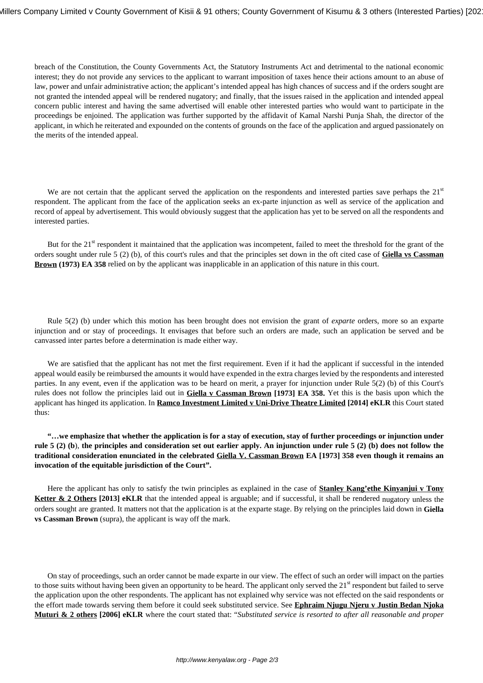breach of the Constitution, the County Governments Act, the Statutory Instruments Act and detrimental to the national economic interest; they do not provide any services to the applicant to warrant imposition of taxes hence their actions amount to an abuse of law, power and unfair administrative action; the applicant's intended appeal has high chances of success and if the orders sought are not granted the intended appeal will be rendered nugatory; and finally, that the issues raised in the application and intended appeal concern public interest and having the same advertised will enable other interested parties who would want to participate in the proceedings be enjoined. The application was further supported by the affidavit of Kamal Narshi Punja Shah, the director of the applicant, in which he reiterated and expounded on the contents of grounds on the face of the application and argued passionately on the merits of the intended appeal.

We are not certain that the applicant served the application on the respondents and interested parties save perhaps the  $21<sup>st</sup>$ respondent. The applicant from the face of the application seeks an ex-parte injunction as well as service of the application and record of appeal by advertisement. This would obviously suggest that the application has yet to be served on all the respondents and interested parties.

But for the 21<sup>st</sup> respondent it maintained that the application was incompetent, failed to meet the threshold for the grant of the orders sought under rule 5 (2) (b), of this court's rules and that the principles set down in the oft cited case of **Giella vs Cassman Brown (1973) EA 358** relied on by the applicant was inapplicable in an application of this nature in this court.

Rule 5(2) (b) under which this motion has been brought does not envision the grant of *exparte* orders, more so an exparte injunction and or stay of proceedings. It envisages that before such an orders are made, such an application be served and be canvassed inter partes before a determination is made either way.

We are satisfied that the applicant has not met the first requirement. Even if it had the applicant if successful in the intended appeal would easily be reimbursed the amounts it would have expended in the extra charges levied by the respondents and interested parties. In any event, even if the application was to be heard on merit, a prayer for injunction under Rule 5(2) (b) of this Court's rules does not follow the principles laid out in **Giella v Cassman Brown [1973] EA 358.** Yet this is the basis upon which the applicant has hinged its application. In **Ramco Investment Limited v Uni-Drive Theatre Limited [2014] eKLR** this Court stated thus:

**"…we emphasize that whether the application is for a stay of execution, stay of further proceedings or injunction under rule 5 (2) (b**), **the principles and consideration set out earlier apply. An injunction under rule 5 (2) (b) does not follow the traditional consideration enunciated in the celebrated Giella V. Cassman Brown EA [1973] 358 even though it remains an invocation of the equitable jurisdiction of the Court".**

Here the applicant has only to satisfy the twin principles as explained in the case of **Stanley Kang'ethe Kinyanjui v Tony Ketter & 2 Others** [2013] **eKLR** that the intended appeal is arguable; and if successful, it shall be rendered nugatory unless the orders sought are granted. It matters not that the application is at the exparte stage. By relying on the principles laid down in **Giella vs Cassman Brown** (supra), the applicant is way off the mark.

On stay of proceedings, such an order cannot be made exparte in our view. The effect of such an order will impact on the parties to those suits without having been given an opportunity to be heard. The applicant only served the 21<sup>st</sup> respondent but failed to serve the application upon the other respondents. The applicant has not explained why service was not effected on the said respondents or the effort made towards serving them before it could seek substituted service. See **Ephraim Njugu Njeru v Justin Bedan Njoka Muturi & 2 others [2006] eKLR** where the court stated that: "*Substituted service is resorted to after all reasonable and proper*